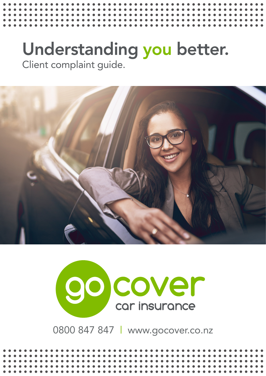## Understanding you better. Client complaint guide.





0800 847 847 | www.gocover.co.nz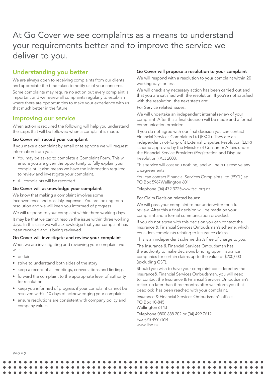### At Go Cover we see complaints as a means to understand your requirements better and to improve the service we deliver to you.

#### Understanding you better

We are always open to receiving complaints from our clients and appreciate the time taken to notify us of your concerns.

Some complaints may require no action but every complaint is important and we review all complaints regularly to establish where there are opportunities to make your experience with us that much better in the future.

#### Improving our service

When action is required the following will help you understand the steps that will be followed when a complaint is made.

#### Go Cover will record your complaint

If you make a complaint by email or telephone we will request information from you.

- You may be asked to complete a Complaint Form. This will ensure you are given the opportunity to fully explain your complaint. It also means we have the information required to review and investigate your complaint.
- All complaints will be recorded.

#### Go Cover will acknowledge your complaint

We know that making a complaint involves some inconvenience and possibly, expense. You are looking for a resolution and we will keep you informed of progress.

We will respond to your complaint within three working days.

It may be that we cannot resolve the issue within three working days. In this case we will acknowledge that your complaint has been received and is being reviewed.

#### Go Cover will investigate and review your complaint

When we are investigating and reviewing your complaint we will:

- be fair
- strive to understand both sides of the story
- keep a record of all meetings, conversations and findings
- forward the complaint to the appropriate level of authority for resolution
- keep you informed of progress if your complaint cannot be resolved within 10 days of acknowledging your complaint
- ensure resolutions are consistent with company policy and company values

#### Go Cover will propose a resolution to your complaint

We will respond with a resolution to your complaint within 20 working days or less.

We will check any necessary action has been carried out and that you are satisfied with the resolution. If you're not satisfied with the resolution, the next steps are:

#### For Service related issues:

We will undertake an independent internal review of your complaint. After this a final decision will be made and a formal communication provided.

If you do not agree with our final decision you can contact Financial Services Complaints Ltd (FSCL). They are an independent not-for-profit External Disputes Resolution (EDR) scheme approved by the Minister of Consumer Affairs under the Financial Service Providers (Registration and Dispute Resolution ) Act 2008.

This service will cost you nothing, and will help us resolve any disagreements.

You can contact Financial Services Complaints Ltd (FSCL) at: PO Box 5967Wellington 6011

Telephone (04) 472 3725www.fscl.org.nz

#### For Claim Decision related issues:

We will pass your complaint to our underwriter for a full review. After this a final decision will be made on your complaint and a formal communication provided.

If you do not agree with this decision you can contact the Insurance & Financial Services Ombudsman's scheme, which considers complaints relating to insurance claims.

This is an independent scheme that's free of charge to you.

The Insurance & Financial Services Ombudsman has the authority to make decisions binding upon insurance companies for certain claims up to the value of \$200,000 (excluding GST).

Should you wish to have your complaint considered by the Insurance& Financial Services Ombudsman, you will need to contact the Insurance & Financial Services Ombudsman's office no later than three months after we inform you that deadlock has been reached with your complaint.

Insurance & Financial Services Ombudsman's office: PO Box 10-845 Wellington 6143 Telephone 0800 888 202 or (04) 499 7612 Fax (04) 499 7614 www.ifso.nz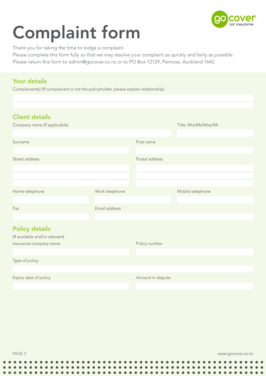

# Complaint form

Thank you for taking the time to lodge a complaint.

Please complete this form fully so that we may resolve your complaint as quickly and fairly as possible.

Please return this form to admin@gocover.co.nz or to PO Box 12129, Penrose, Auckland 1642.

#### Your details

Complainant(s) (If complainant is not the policyholder, please explain relationship)

| <b>Client details</b><br>Company name (If applicable)                             |                |                   | Title: Mrs/Ms/Miss/Mr |
|-----------------------------------------------------------------------------------|----------------|-------------------|-----------------------|
|                                                                                   |                |                   |                       |
| Surname                                                                           |                | First name        |                       |
|                                                                                   |                |                   |                       |
| Street address                                                                    |                | Postal address    |                       |
|                                                                                   |                |                   |                       |
|                                                                                   |                |                   |                       |
|                                                                                   |                |                   |                       |
| Home telephone                                                                    | Work telephone |                   | Mobile telephone      |
|                                                                                   |                |                   |                       |
| Fax                                                                               | Email address  |                   |                       |
|                                                                                   |                |                   |                       |
| <b>Policy details</b><br>(If available and/or relevant)<br>Insurance company name |                | Policy number     |                       |
|                                                                                   |                |                   |                       |
| Type of policy                                                                    |                |                   |                       |
|                                                                                   |                |                   |                       |
| Expiry date of policy                                                             |                | Amount in dispute |                       |